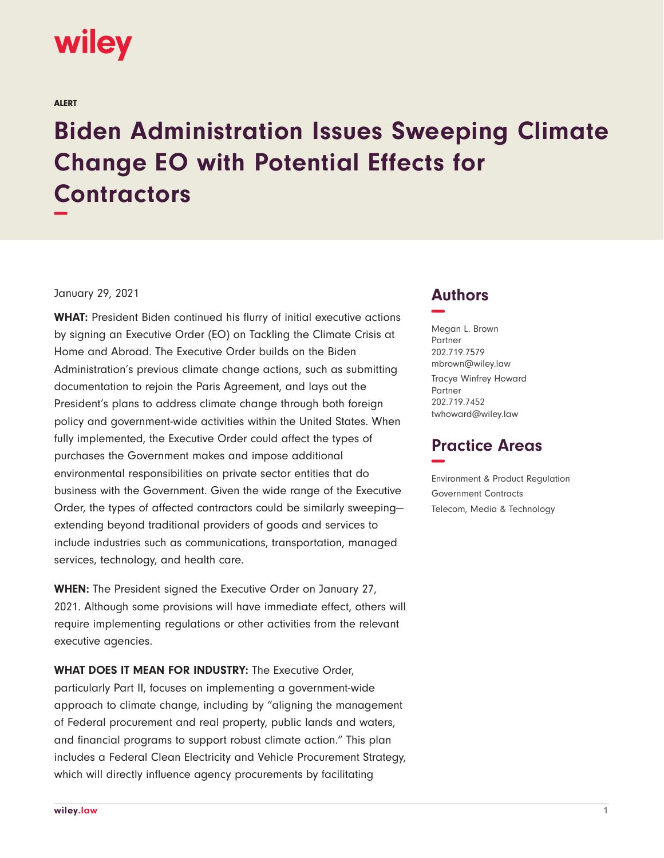

ALERT

## **Biden Administration Issues Sweeping Climate Change EO with Potential Effects for Contractors −**

## January 29, 2021

**WHAT:** President Biden continued his flurry of initial executive actions by signing an Executive Order (EO) on Tackling the Climate Crisis at Home and Abroad. The Executive Order builds on the Biden Administration's previous climate change actions, such as submitting documentation to rejoin the Paris Agreement, and lays out the President's plans to address climate change through both foreign policy and government-wide activities within the United States. When fully implemented, the Executive Order could affect the types of purchases the Government makes and impose additional environmental responsibilities on private sector entities that do business with the Government. Given the wide range of the Executive Order, the types of affected contractors could be similarly sweeping extending beyond traditional providers of goods and services to include industries such as communications, transportation, managed services, technology, and health care.

**WHEN:** The President signed the Executive Order on January 27, 2021. Although some provisions will have immediate effect, others will require implementing regulations or other activities from the relevant executive agencies.

**WHAT DOES IT MEAN FOR INDUSTRY:** The Executive Order, particularly Part II, focuses on implementing a government-wide approach to climate change, including by "aligning the management of Federal procurement and real property, public lands and waters, and financial programs to support robust climate action." This plan includes a Federal Clean Electricity and Vehicle Procurement Strategy, which will directly influence agency procurements by facilitating

## **Authors −**

Megan L. Brown Partner 202.719.7579 mbrown@wiley.law Tracye Winfrey Howard Partner 202.719.7452 twhoward@wiley.law

## **Practice Areas −**

Environment & Product Regulation Government Contracts Telecom, Media & Technology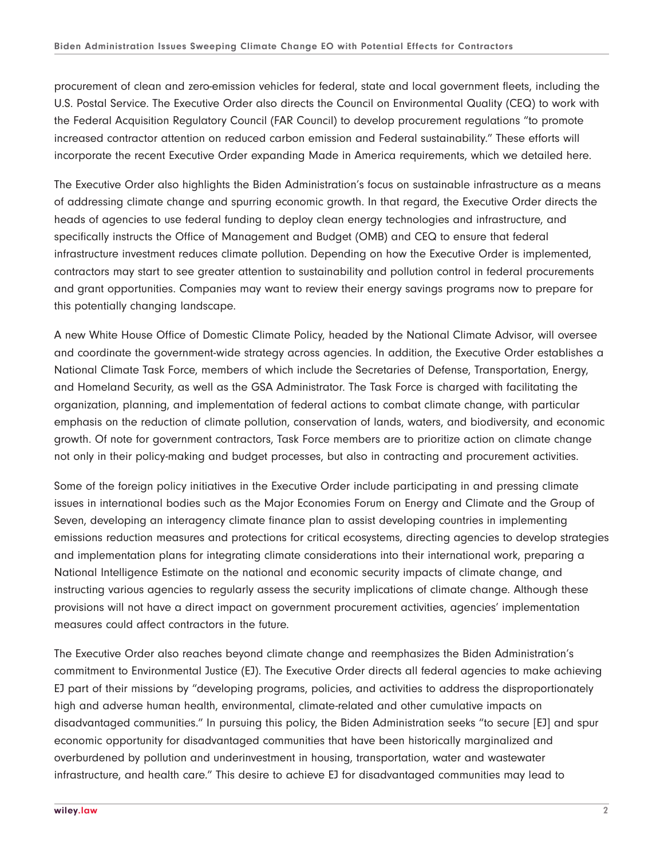procurement of clean and zero-emission vehicles for federal, state and local government fleets, including the U.S. Postal Service. The Executive Order also directs the Council on Environmental Quality (CEQ) to work with the Federal Acquisition Regulatory Council (FAR Council) to develop procurement regulations "to promote increased contractor attention on reduced carbon emission and Federal sustainability." These efforts will incorporate the recent Executive Order expanding Made in America requirements, which we detailed here.

The Executive Order also highlights the Biden Administration's focus on sustainable infrastructure as a means of addressing climate change and spurring economic growth. In that regard, the Executive Order directs the heads of agencies to use federal funding to deploy clean energy technologies and infrastructure, and specifically instructs the Office of Management and Budget (OMB) and CEQ to ensure that federal infrastructure investment reduces climate pollution. Depending on how the Executive Order is implemented, contractors may start to see greater attention to sustainability and pollution control in federal procurements and grant opportunities. Companies may want to review their energy savings programs now to prepare for this potentially changing landscape.

A new White House Office of Domestic Climate Policy, headed by the National Climate Advisor, will oversee and coordinate the government-wide strategy across agencies. In addition, the Executive Order establishes a National Climate Task Force, members of which include the Secretaries of Defense, Transportation, Energy, and Homeland Security, as well as the GSA Administrator. The Task Force is charged with facilitating the organization, planning, and implementation of federal actions to combat climate change, with particular emphasis on the reduction of climate pollution, conservation of lands, waters, and biodiversity, and economic growth. Of note for government contractors, Task Force members are to prioritize action on climate change not only in their policy-making and budget processes, but also in contracting and procurement activities.

Some of the foreign policy initiatives in the Executive Order include participating in and pressing climate issues in international bodies such as the Major Economies Forum on Energy and Climate and the Group of Seven, developing an interagency climate finance plan to assist developing countries in implementing emissions reduction measures and protections for critical ecosystems, directing agencies to develop strategies and implementation plans for integrating climate considerations into their international work, preparing a National Intelligence Estimate on the national and economic security impacts of climate change, and instructing various agencies to regularly assess the security implications of climate change. Although these provisions will not have a direct impact on government procurement activities, agencies' implementation measures could affect contractors in the future.

The Executive Order also reaches beyond climate change and reemphasizes the Biden Administration's commitment to Environmental Justice (EJ). The Executive Order directs all federal agencies to make achieving EJ part of their missions by "developing programs, policies, and activities to address the disproportionately high and adverse human health, environmental, climate-related and other cumulative impacts on disadvantaged communities." In pursuing this policy, the Biden Administration seeks "to secure [EJ] and spur economic opportunity for disadvantaged communities that have been historically marginalized and overburdened by pollution and underinvestment in housing, transportation, water and wastewater infrastructure, and health care." This desire to achieve EJ for disadvantaged communities may lead to